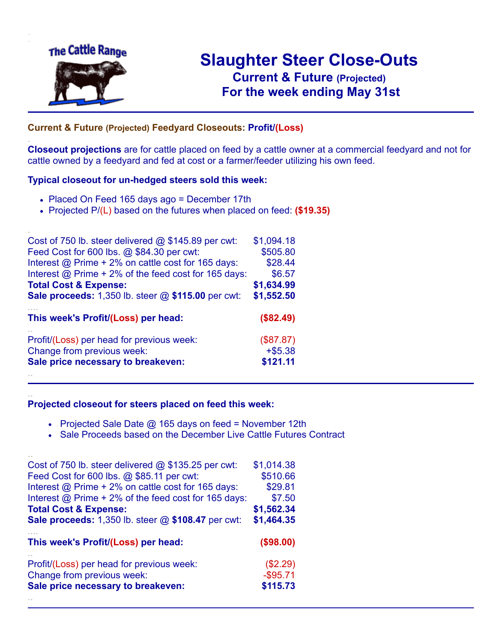

.

..

# **Slaughter Steer Close-Outs Current & Future (Projected)** .**For the week ending May 31st**

### **Current & Future (Projected) Feedyard Closeouts: Profit/(Loss)**

**Closeout projections** are for cattle placed on feed by a cattle owner at a commercial feedyard and not for cattle owned by a feedyard and fed at cost or a farmer/feeder utilizing his own feed.

#### **Typical closeout for un-hedged steers sold this week:**

- Placed On Feed 165 days ago = December 17th
- Projected P/(L) based on the futures when placed on feed: **(\$19.35)**

| Cost of 750 lb. steer delivered $@$ \$145.89 per cwt:       | \$1,094.18 |
|-------------------------------------------------------------|------------|
| Feed Cost for 600 lbs. @ \$84.30 per cwt:                   | \$505.80   |
| Interest @ Prime + 2% on cattle cost for 165 days:          | \$28.44    |
| Interest $\omega$ Prime + 2% of the feed cost for 165 days: | \$6.57     |
| <b>Total Cost &amp; Expense:</b>                            | \$1,634.99 |
| <b>Sale proceeds:</b> 1,350 lb. steer @ \$115.00 per cwt:   | \$1,552.50 |
| This week's Profit/(Loss) per head:                         | (\$82.49)  |
| Profit/(Loss) per head for previous week:                   | (\$87.87)  |
| Change from previous week:                                  | $+ $5.38$  |
|                                                             |            |
| Sale price necessary to breakeven:                          | \$121.11   |

#### **Projected closeout for steers placed on feed this week:**

- Projected Sale Date  $@$  165 days on feed = November 12th
	- Sale Proceeds based on the December Live Cattle Futures Contract

| Cost of 750 lb. steer delivered $@$ \$135.25 per cwt:                   | \$1,014.38                |
|-------------------------------------------------------------------------|---------------------------|
| Feed Cost for 600 lbs. @ \$85.11 per cwt:                               | \$510.66                  |
| Interest @ Prime + 2% on cattle cost for 165 days:                      | \$29.81                   |
| Interest $@$ Prime + 2% of the feed cost for 165 days:                  | \$7.50                    |
| <b>Total Cost &amp; Expense:</b>                                        | \$1,562.34                |
| <b>Sale proceeds:</b> 1,350 lb. steer @ \$108.47 per cwt:               | \$1,464.35                |
|                                                                         |                           |
| This week's Profit/(Loss) per head:                                     | (\$98.00)                 |
|                                                                         |                           |
| Profit/(Loss) per head for previous week:<br>Change from previous week: | $(\$2.29)$<br>$-$ \$95.71 |
| Sale price necessary to breakeven:                                      | \$115.73                  |